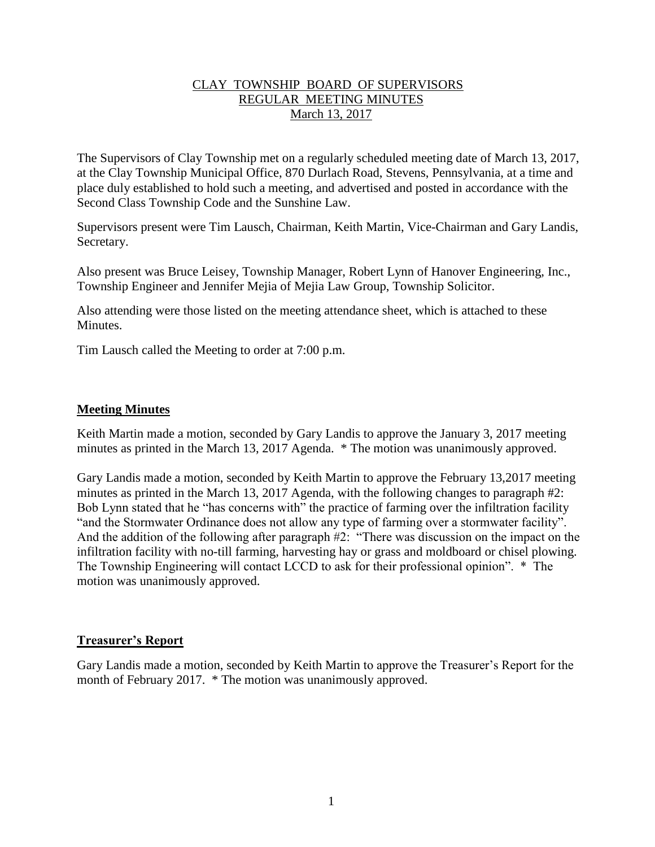## CLAY TOWNSHIP BOARD OF SUPERVISORS REGULAR MEETING MINUTES March 13, 2017

The Supervisors of Clay Township met on a regularly scheduled meeting date of March 13, 2017, at the Clay Township Municipal Office, 870 Durlach Road, Stevens, Pennsylvania, at a time and place duly established to hold such a meeting, and advertised and posted in accordance with the Second Class Township Code and the Sunshine Law.

Supervisors present were Tim Lausch, Chairman, Keith Martin, Vice-Chairman and Gary Landis, Secretary.

Also present was Bruce Leisey, Township Manager, Robert Lynn of Hanover Engineering, Inc., Township Engineer and Jennifer Mejia of Mejia Law Group, Township Solicitor.

Also attending were those listed on the meeting attendance sheet, which is attached to these Minutes.

Tim Lausch called the Meeting to order at 7:00 p.m.

## **Meeting Minutes**

Keith Martin made a motion, seconded by Gary Landis to approve the January 3, 2017 meeting minutes as printed in the March 13, 2017 Agenda. \* The motion was unanimously approved.

Gary Landis made a motion, seconded by Keith Martin to approve the February 13,2017 meeting minutes as printed in the March 13, 2017 Agenda, with the following changes to paragraph #2: Bob Lynn stated that he "has concerns with" the practice of farming over the infiltration facility "and the Stormwater Ordinance does not allow any type of farming over a stormwater facility". And the addition of the following after paragraph #2: "There was discussion on the impact on the infiltration facility with no-till farming, harvesting hay or grass and moldboard or chisel plowing. The Township Engineering will contact LCCD to ask for their professional opinion". \* The motion was unanimously approved.

## **Treasurer's Report**

Gary Landis made a motion, seconded by Keith Martin to approve the Treasurer's Report for the month of February 2017. \* The motion was unanimously approved.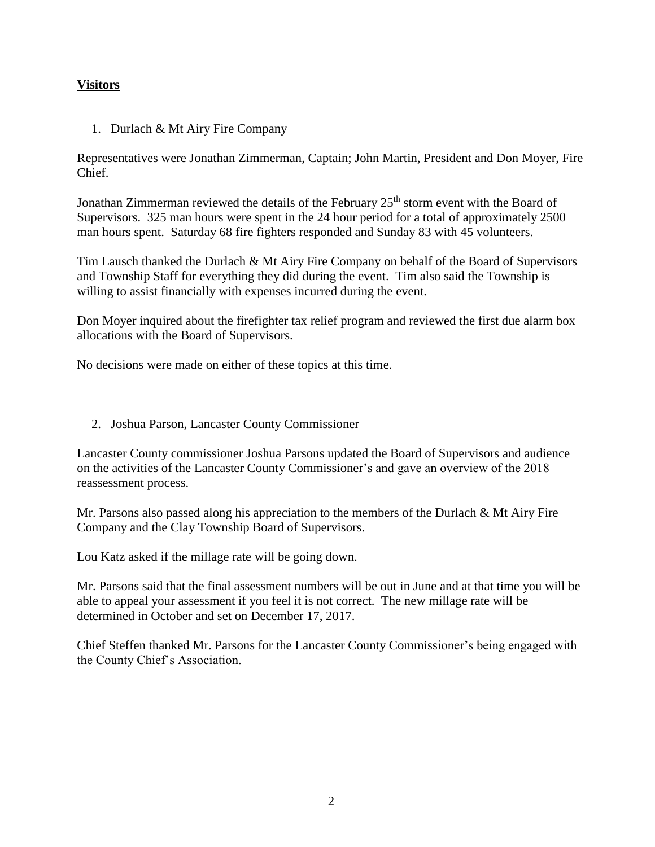# **Visitors**

1. Durlach & Mt Airy Fire Company

Representatives were Jonathan Zimmerman, Captain; John Martin, President and Don Moyer, Fire Chief.

Jonathan Zimmerman reviewed the details of the February  $25<sup>th</sup>$  storm event with the Board of Supervisors. 325 man hours were spent in the 24 hour period for a total of approximately 2500 man hours spent. Saturday 68 fire fighters responded and Sunday 83 with 45 volunteers.

Tim Lausch thanked the Durlach & Mt Airy Fire Company on behalf of the Board of Supervisors and Township Staff for everything they did during the event. Tim also said the Township is willing to assist financially with expenses incurred during the event.

Don Moyer inquired about the firefighter tax relief program and reviewed the first due alarm box allocations with the Board of Supervisors.

No decisions were made on either of these topics at this time.

2. Joshua Parson, Lancaster County Commissioner

Lancaster County commissioner Joshua Parsons updated the Board of Supervisors and audience on the activities of the Lancaster County Commissioner's and gave an overview of the 2018 reassessment process.

Mr. Parsons also passed along his appreciation to the members of the Durlach & Mt Airy Fire Company and the Clay Township Board of Supervisors.

Lou Katz asked if the millage rate will be going down.

Mr. Parsons said that the final assessment numbers will be out in June and at that time you will be able to appeal your assessment if you feel it is not correct. The new millage rate will be determined in October and set on December 17, 2017.

Chief Steffen thanked Mr. Parsons for the Lancaster County Commissioner's being engaged with the County Chief's Association.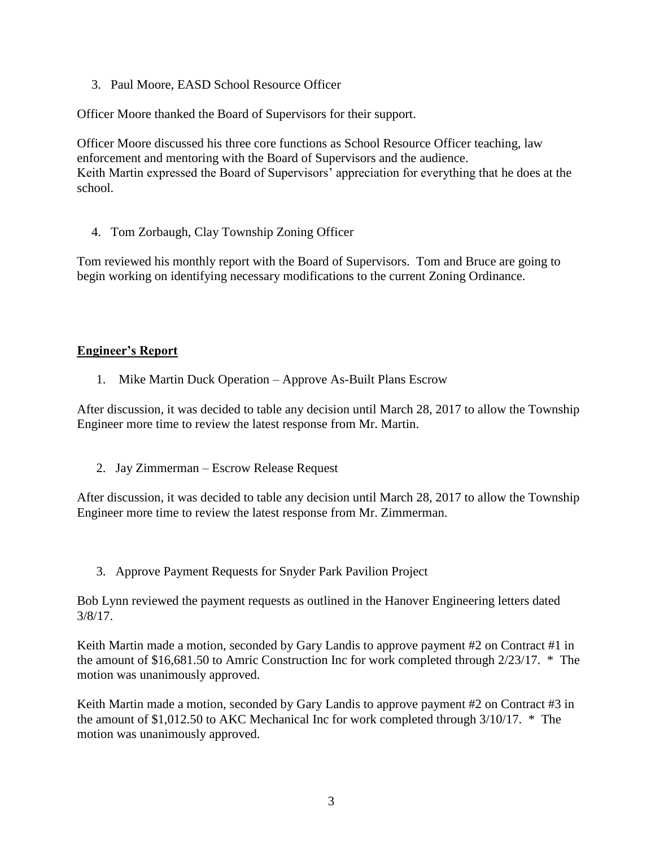3. Paul Moore, EASD School Resource Officer

Officer Moore thanked the Board of Supervisors for their support.

Officer Moore discussed his three core functions as School Resource Officer teaching, law enforcement and mentoring with the Board of Supervisors and the audience. Keith Martin expressed the Board of Supervisors' appreciation for everything that he does at the school.

4. Tom Zorbaugh, Clay Township Zoning Officer

Tom reviewed his monthly report with the Board of Supervisors. Tom and Bruce are going to begin working on identifying necessary modifications to the current Zoning Ordinance.

# **Engineer's Report**

1. Mike Martin Duck Operation – Approve As-Built Plans Escrow

After discussion, it was decided to table any decision until March 28, 2017 to allow the Township Engineer more time to review the latest response from Mr. Martin.

2. Jay Zimmerman – Escrow Release Request

After discussion, it was decided to table any decision until March 28, 2017 to allow the Township Engineer more time to review the latest response from Mr. Zimmerman.

3. Approve Payment Requests for Snyder Park Pavilion Project

Bob Lynn reviewed the payment requests as outlined in the Hanover Engineering letters dated 3/8/17.

Keith Martin made a motion, seconded by Gary Landis to approve payment #2 on Contract #1 in the amount of \$16,681.50 to Amric Construction Inc for work completed through 2/23/17. \* The motion was unanimously approved.

Keith Martin made a motion, seconded by Gary Landis to approve payment #2 on Contract #3 in the amount of \$1,012.50 to AKC Mechanical Inc for work completed through 3/10/17. \* The motion was unanimously approved.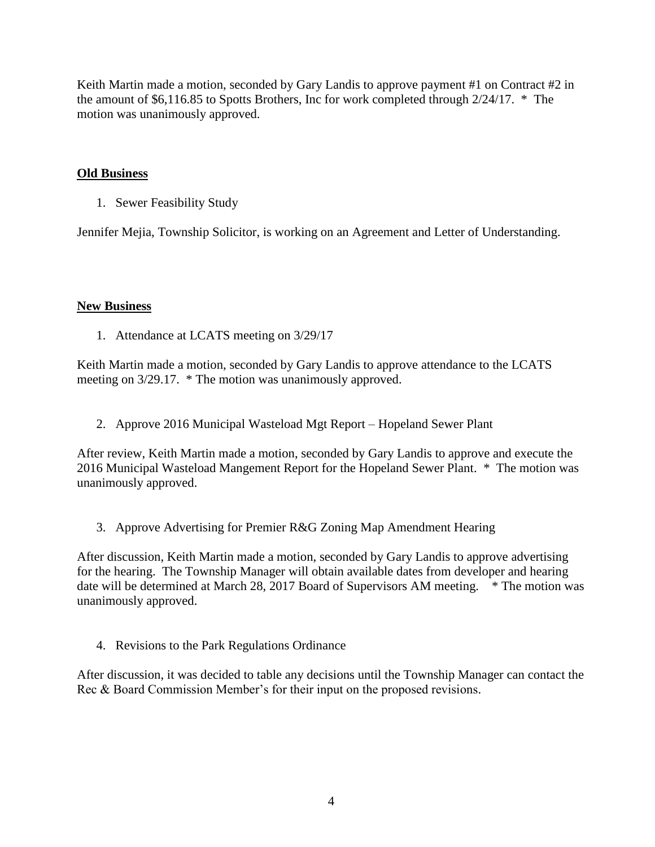Keith Martin made a motion, seconded by Gary Landis to approve payment #1 on Contract #2 in the amount of \$6,116.85 to Spotts Brothers, Inc for work completed through 2/24/17. \* The motion was unanimously approved.

## **Old Business**

1. Sewer Feasibility Study

Jennifer Mejia, Township Solicitor, is working on an Agreement and Letter of Understanding.

## **New Business**

1. Attendance at LCATS meeting on 3/29/17

Keith Martin made a motion, seconded by Gary Landis to approve attendance to the LCATS meeting on 3/29.17. \* The motion was unanimously approved.

2. Approve 2016 Municipal Wasteload Mgt Report – Hopeland Sewer Plant

After review, Keith Martin made a motion, seconded by Gary Landis to approve and execute the 2016 Municipal Wasteload Mangement Report for the Hopeland Sewer Plant. \* The motion was unanimously approved.

3. Approve Advertising for Premier R&G Zoning Map Amendment Hearing

After discussion, Keith Martin made a motion, seconded by Gary Landis to approve advertising for the hearing. The Township Manager will obtain available dates from developer and hearing date will be determined at March 28, 2017 Board of Supervisors AM meeting. \* The motion was unanimously approved.

4. Revisions to the Park Regulations Ordinance

After discussion, it was decided to table any decisions until the Township Manager can contact the Rec & Board Commission Member's for their input on the proposed revisions.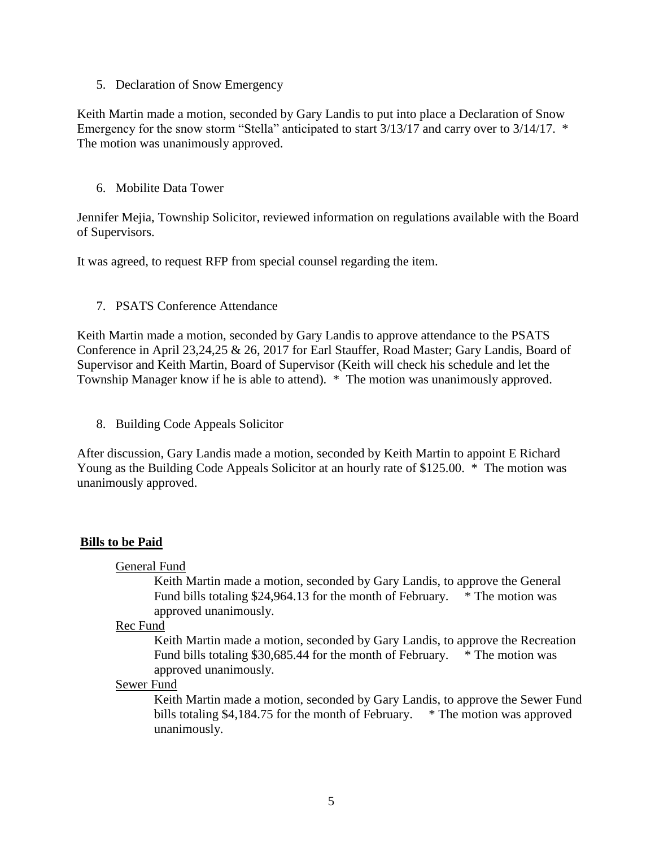5. Declaration of Snow Emergency

Keith Martin made a motion, seconded by Gary Landis to put into place a Declaration of Snow Emergency for the snow storm "Stella" anticipated to start  $3/13/17$  and carry over to  $3/14/17$ . \* The motion was unanimously approved.

6. Mobilite Data Tower

Jennifer Mejia, Township Solicitor, reviewed information on regulations available with the Board of Supervisors.

It was agreed, to request RFP from special counsel regarding the item.

#### 7. PSATS Conference Attendance

Keith Martin made a motion, seconded by Gary Landis to approve attendance to the PSATS Conference in April 23,24,25 & 26, 2017 for Earl Stauffer, Road Master; Gary Landis, Board of Supervisor and Keith Martin, Board of Supervisor (Keith will check his schedule and let the Township Manager know if he is able to attend). \* The motion was unanimously approved.

8. Building Code Appeals Solicitor

After discussion, Gary Landis made a motion, seconded by Keith Martin to appoint E Richard Young as the Building Code Appeals Solicitor at an hourly rate of \$125.00. \* The motion was unanimously approved.

## **Bills to be Paid**

General Fund

Keith Martin made a motion, seconded by Gary Landis, to approve the General Fund bills totaling \$24,964.13 for the month of February. \* The motion was approved unanimously.

#### Rec Fund

Keith Martin made a motion, seconded by Gary Landis, to approve the Recreation Fund bills totaling \$30,685.44 for the month of February. \* The motion was approved unanimously.

#### Sewer Fund

Keith Martin made a motion, seconded by Gary Landis, to approve the Sewer Fund bills totaling \$4,184.75 for the month of February. \* The motion was approved unanimously.